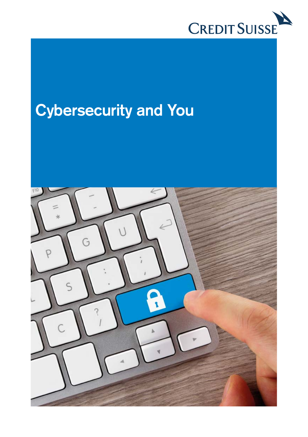

## **Cybersecurity and You**

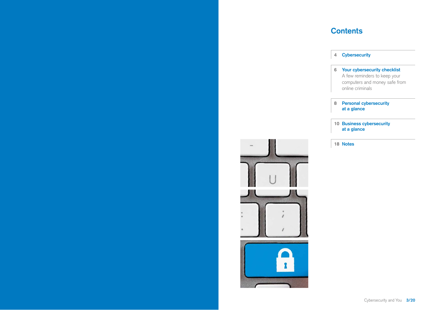## **Contents**

|  | <b>Cybersecurity</b> |  |
|--|----------------------|--|
|--|----------------------|--|

## **6 Your cybersecurity checklist**

- A few reminders to keep your computers and money safe from online criminals
- **8 Personal cybersecurity at a glance**

#### **10 Business cybersecurity at a glance**



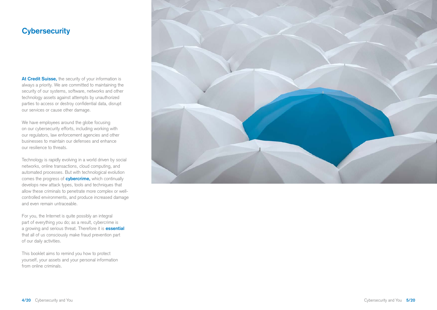## **Cybersecurity**

**At Credit Suisse,** the security of your information is always a priority. We are committed to maintaining the security of our systems, software, networks and other technology assets against attempts by unauthorized parties to access or destroy confidential data, disrupt our services or cause other damage.

We have employees around the globe focusing on our cybersecurity efforts, including working with our regulators, law enforcement agencies and other businesses to maintain our defenses and enhance our resilience to threats.

Technology is rapidly evolving in a world driven by social networks, online transactions, cloud computing, and automated processes. But with technological evolution comes the progress of **cybercrime,** which continually develops new attack types, tools and techniques that allow these criminals to penetrate more complex or wellcontrolled environments, and produce increased damage and even remain untraceable.

For you, the Internet is quite possibly an integral part of everything you do; as a result, cybercrime is a growing and serious threat. Therefore it is **essential**  that all of us consciously make fraud prevention part of our daily activities.

This booklet aims to remind you how to protect yourself, your assets and your personal information from online criminals.

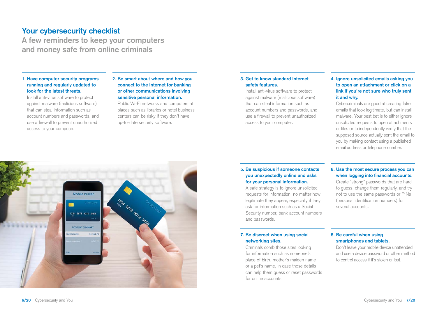## **Your cybersecurity checklist**

**A few reminders to keep your computers and money safe from online criminals** 

#### **1. Have computer security programs running and regularly updated to look for the latest threats.**

Install anti-virus software to protect against malware (malicious software) that can steal information such as account numbers and passwords, and use a firewall to prevent unauthorized access to your computer.

#### **2. Be smart about where and how you connect to the Internet for banking or other communications involving sensitive personal information.**

Public Wi-Fi networks and computers at places such as libraries or hotel business centers can be risky if they don't have up-to-date security software.

#### **3. Get to know standard Internet safety features.**

Install anti-virus software to protect against malware (malicious software) that can steal information such as account numbers and passwords, and use a firewall to prevent unauthorized access to your computer.

#### **4. Ignore unsolicited emails asking you to open an attachment or click on a link if you're not sure who truly sent it and why.**

Cybercriminals are good at creating fake emails that look legitimate, but can install malware. Your best bet is to either ignore unsolicited requests to open attachments or files or to independently verify that the supposed source actually sent the email to you by making contact using a published email address or telephone number.

#### **5. Be suspicious if someone contacts you unexpectedly online and asks for your personal information.**

A safe strategy is to ignore unsolicited requests for information, no matter how legitimate they appear, especially if they ask for information such as a Social Security number, bank account numbers and passwords.

#### **6. Use the most secure process you can when logging into financial accounts.**

Create "strong" passwords that are hard to guess, change them regularly, and try not to use the same passwords or PINs (personal identification numbers) for several accounts.

# Mobile Wallet **Sara Sore of Sample Street** 1234 5678 9012 3456 ACCOUNT SUMMARY \$1364.20

#### **7. Be discreet when using social networking sites.**

Criminals comb those sites looking for information such as someone's place of birth, mother's maiden name or a pet's name, in case those details can help them guess or reset passwords for online accounts.

#### **8. Be careful when using smartphones and tablets.**

Don't leave your mobile device unattended and use a device password or other method to control access if it's stolen or lost.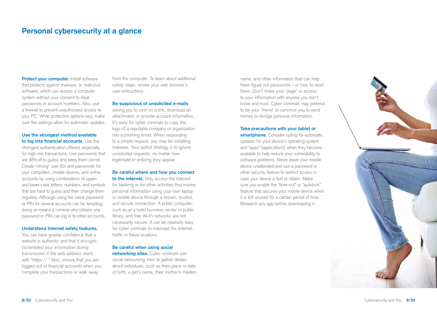### **Personal cybersecurity at a glance**

**Protect your computer.** Install software that protects against malware, or malicious software, which can access a computer system without your consent to steal passwords or account numbers. Also, use a firewall to prevent unauthorized access to your PC. While protection options vary, make sure the settings allow for automatic updates.

## **Use the strongest method available**

 **to log into financial accounts.** Use the strongest authentication offered, especially for high-risk transactions. Use passwords that are difficult to guess and keep them secret. Create "strong" user IDs and passwords for your computers, mobile devices, and online accounts by using combinations of upperand lower-case letters, numbers, and symbols that are hard to guess and then change them regularly. Although using the same password or PIN for several accounts can be tempting, doing so means a criminal who obtains one password or PIN can log in to other accounts.

#### **Understand Internet safety features.**

You can have greater confidence that a website is authentic and that it encrypts (scrambles) your information during transmission if the web address starts with "https://." Also, ensure that you are logged out of financial accounts when you complete your transactions or walk away

from the computer. To learn about additional safety steps, review your web browser's user instructions.

#### **Be suspicious of unsolicited e-mails**

asking you to click on a link, download an attachment, or provide account information. It's easy for cyber criminals to copy the logo of a reputable company or organization into a phishing email. When responding to a simple request, you may be installing malware. Your safest strategy is to ignore unsolicited requests, no matter how legitimate or enticing they appear

#### **Be careful where and how you connect**

**to the Internet.** Only access the Internet for banking or for other activities that involve personal information using your own laptop or mobile device through a known, trusted, and secure connection. A public computer, such as at a hotel business center or public library, and free Wi-Fi networks are not necessarily secure. It can be relatively easy for cyber criminals to intercept the Internet traffic in these locations.

#### **Be careful when using social**

**networking sites.** Cyber criminals use social networking sites to gather details about individuals, such as their place or date of birth, a pet's name, their mother's maiden name, and other information that can help them figure out passwords—or how to reset them. Don't share your 'page' or access to your information with anyone you don't know and trust. Cyber criminals may pretend to be your 'friend' to convince you to send money or divulge personal information.

#### **Take precautions with your tablet or**

**smartphone.** Consider opting for automatic updates for your device's operating system and "apps" (applications) when they become available to help reduce your vulnerability to software problems. Never leave your mobile device unattended and use a password or other security feature to restrict access in case your device is lost or stolen. Make sure you enable the "time-out" or "autolock" feature that secures your mobile device when it is left unused for a certain period of time. Research any app before downloading it.

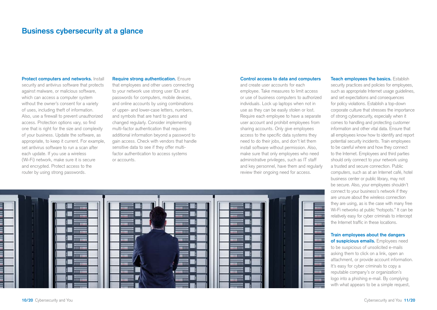## **Business cybersecurity at a glance**

**Protect computers and networks.** Install security and antivirus software that protects against malware, or malicious software, which can access a computer system without the owner's consent for a variety of uses, including theft of information. Also, use a firewall to prevent unauthorized access. Protection options vary, so find one that is right for the size and complexity of your business. Update the software, as appropriate, to keep it current. For example, set antivirus software to run a scan after each update. If you use a wireless (Wi-Fi) network, make sure it is secure and encrypted. Protect access to the router by using strong passwords.

#### **Require strong authentication.** Ensure

that employees and other users connecting to your network use strong user IDs and passwords for computers, mobile devices, and online accounts by using combinations of upper- and lower-case letters, numbers, and symbols that are hard to guess and changed regularly. Consider implementing multi-factor authentication that requires additional information beyond a password to gain access. Check with vendors that handle sensitive data to see if they offer multifactor authentication to access systems or accounts.

#### **Control access to data and computers**

and create user accounts for each employee. Take measures to limit access or use of business computers to authorized individuals. Lock up laptops when not in use as they can be easily stolen or lost. Require each employee to have a separate user account and prohibit employees from sharing accounts. Only give employees access to the specific data systems they need to do their jobs, and don't let them install software without permission. Also, make sure that only employees who need administrative privileges, such as IT staff and key personnel, have them and regularly review their ongoing need for access.

**Teach employees the basics.** Establish security practices and policies for employees, such as appropriate Internet usage guidelines, and set expectations and consequences for policy violations. Establish a top-down corporate culture that stresses the importance of strong cybersecurity, especially when it comes to handling and protecting customer information and other vital data. Ensure that all employees know how to identify and report potential security incidents. Train employees to be careful where and how they connect to the Internet. Employees and third parties should only connect to your network using a trusted and secure connection. Public computers, such as at an Internet café, hotel business center or public library, may not be secure. Also, your employees shouldn't connect to your business's network if they are unsure about the wireless connection they are using, as is the case with many free Wi-Fi networks at public "hotspots." It can be relatively easy for cyber criminals to intercept the Internet traffic in these locations.

#### **Train employees about the dangers**

**of suspicious emails.** Employees need to be suspicious of unsolicited e-mails asking them to click on a link, open an attachment, or provide account information. It's easy for cyber criminals to copy a reputable company's or organization's logo into a phishing e-mail. By complying with what appears to be a simple request,

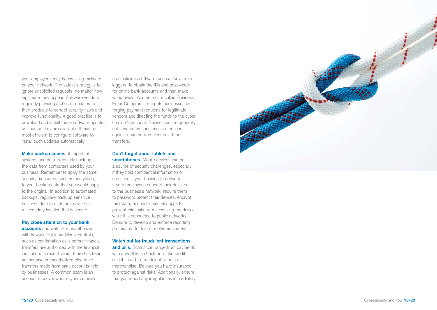your employees may be installing malware on your network. The safest strategy is to ignore unsolicited requests, no matter how legitimate they appear. Software vendors regularly provide patches or updates to their products to correct security flaws and improve functionality. A good practice is to download and install these software updates as soon as they are available. It may be most efficient to configure software to install such updates automatically.

#### **Make backup copies** of important

systems and data. Regularly back up the data from computers used by your business. Remember to apply the same security measures, such as encryption, to your backup data that you would apply to the original. In addition to automated backups, regularly back up sensitive business data to a storage device at a secondary location that is secure.

#### **Pay close attention to your bank**

**accounts** and watch for unauthorized withdrawals. Put in additional controls, such as confirmation calls before financial transfers are authorized with the financial institution. In recent years, there has been an increase in unauthorized electronic transfers made from bank accounts held by businesses. A common scam is an account takeover where cyber criminals

use malicious software, such as keystroke loggers, to obtain the IDs and passwords for online bank accounts and then make withdrawals. Another scam called Business Email Compromise targets businesses by forging payment requests for legitimate vendors and directing the funds to the cyber criminal's account. Businesses are generally not covered by consumer protections against unauthorized electronic funds transfers.

#### **Don't forget about tablets and**

**smartphones.** Mobile devices can be a source of security challenges, especially if they hold confidential information or can access your business's network. If your employees connect their devices to the business's network, require them to password protect their devices, encrypt their data, and install security apps to prevent criminals from accessing the device while it is connected to public networks. Be sure to develop and enforce reporting procedures for lost or stolen equipment.

#### **Watch out for fraudulent transactions**

**and bills**. Scams can range from payments with a worthless check or a fake credit or debit card to fraudulent returns of merchandise. Be sure you have insurance to protect against risks. Additionally, ensure that you report any irregularities immediately.

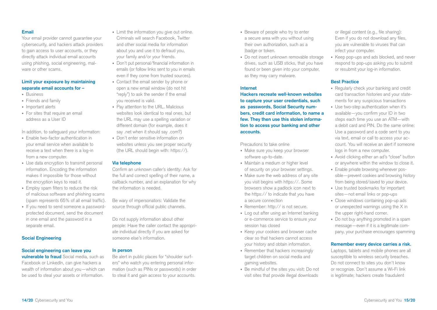#### **Email**

Your email provider cannot guarantee your cybersecurity, and hackers attack providers to gain access to user accounts, or they directly attack individual email accounts using phishing, social engineering, malware or other scams.

#### **Limit your exposure by maintaining separate email accounts for –**

- Business
- Friends and family
- Important alerts
- For sites that require an email address as a User ID

In addition, to safeguard your information:

- Enable two-factor authentication in your email service when available to receive a text when there is a log-in from a new computer.
- Use data encryption to transmit personal information. Encoding the information makes it impossible for those without the encryption keys to read it.
- Employ spam filters to reduce the risk of malicious software and phishing scams (spam represents 65% of all email traffic).
- If you need to send someone a passwordprotected document, send the document in one email and the password in a separate email.

#### **Social Engineering**

#### **Social engineering can leave you**

**vulnerable to fraud** Social media, such as Facebook or LinkedIn, can give hackers a wealth of information about you—which can be used to steal your assets or information.

- Limit the information you give out online. Criminals will search Facebook, Twitter and other social media for information about you and use it to defraud you, your family and/or your friends.
- Don't put personal/financial information in emails (or follow links sent to you in emails even if they come from trusted sources).
- Contact the email sender by phone or open a new email window (do not hit "reply") to ask the sender if the email you received is valid.
- Pay attention to the URL. Malicious websites look identical to real ones, but the URL may use a spelling variation or different domain (for example, does it say .net when it should say .com?)
- Don't enter sensitive information on websites unless you see proper security (the URL should begin with: https://).

#### **Via telephone**

Confirm an unknown caller's identity: Ask for the full and correct spelling of their name, a callback number, and an explanation for why the information is needed.

Be wary of impersonators: Validate the source through official public channels.

Do not supply information about other people: Have the caller contact the appropriate individual directly if you are asked for someone else's information.

#### **In person**

Be alert in public places for "shoulder surfers" who watch you entering personal information (such as PINs or passwords) in order to steal it and gain access to your accounts.

- Beware of people who try to enter a secure area with you without using their own authorization, such as a |badge or token.
- Do not insert unknown removable storage drives, such as USB sticks, that you have found or been given into your computer, as they may carry malware.

#### **Internet**

**Hackers recreate well-known websites to capture your user credentials, such as passwords, Social Security numbers, credit card information, to name a few. They then use this stolen information to access your banking and other accounts.** 

Precautions to take online

- Make sure you keep your browser software up-to-date.
- Maintain a medium or higher level of security on your browser settings.
- Make sure the web address of any site you visit begins with https://. Some browsers show a padlock icon next to the https:// to indicate that you have a secure connection
- Remember: http:// is not secure.
- Log out after using an Internet banking or e-commerce service to ensure your session has closed
- Keep your cookies and browser cache clear so that hackers cannot access your history and obtain information.
- Remember that hackers increasingly target children on social media and gaming websites.
- Be mindful of the sites you visit: Do not visit sites that provide illegal downloads

or illegal content (e.g., file sharing): Even if you do not download any files, you are vulnerable to viruses that can infect your computer.

• Keep pop-ups and ads blocked, and never respond to pop-ups asking you to submit or resubmit your log-in information.

#### **Best Practice**

- Regularly check your banking and credit card transaction histories and your statements for any suspicious transactions
- Use two-step authentication when it's available—you confirm your ID in two steps each time you use an ATM—with a debit card and PIN. Do the same online: Use a password and a code sent to you via text, email or call to access your account. You will receive an alert if someone logs in from a new computer.
- Avoid clicking either an ad's "close" button or anywhere within the window to close it.
- Enable private browsing whenever possible—prevent cookies and browsing history from being stored/saved to your device.
- Use trusted bookmarks for important sites—not email links or pop-ups
- Close windows containing pop-up ads or unexpected warnings using the X in the upper right-hand corner.
- Do not buy anything promoted in a spam message—even if it is a legitimate company, your purchase encourages spamming

#### **Remember every device carries a risk.**

Laptops, tablets and mobile phones are all susceptible to wireless security breaches. Do not connect to sites you don't know or recognize. Don't assume a Wi-Fi link is legitimate; hackers create fraudulent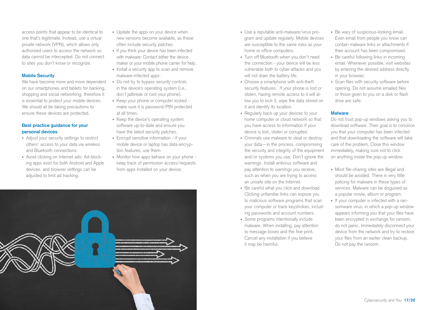access points that appear to be identical to one that's legitimate. Instead, use a virtual private network (VPN), which allows only authorized users to access the network so data cannot be intercepted. Do not connect to sites you don't know or recognize.

#### **Mobile Security**

We have become more and more dependent on our smartphones and tablets for banking, shopping and social networking; therefore it is essential to protect your mobile devices. We should all be taking precautions to ensure these devices are protected.

#### **Best practice guidance for your personal devices**

- Adjust your security settings to restrict others' access to your data via wireless and Bluetooth connections.
- Avoid clicking on Internet ads: Ad-blocking apps exist for both Android and Apple devices, and browser settings can be adjusted to limit ad tracking.
- Update the apps on your device when new versions become available, as these often include security patches.
- If you think your device has been infected with malware: Contact either the device maker or your mobile phone carrier for help.
- Install a security app to scan and remove malware-infected apps.
- Do not try to bypass security controls in the device's operating system (i.e., don't jailbreak or root your phone).
- Keep your phone or computer locked make sure it is password/PIN protected at all times.
- Keep the device's operating system software up-to-date and ensure you have the latest security patches.
- Encrypt sensitive information if your mobile device or laptop has data encryption features, use them.
- Monitor how apps behave on your phone keep track of permission access/requests from apps installed on your device.



- Use a reputable anti-malware/virus program and update regularly. Mobile devices are susceptible to the same risks as your home or office computers.
- Turn off Bluetooth when you don't need the connection - your device will be less vulnerable both to cyber-attacks and you will not drain the battery life.
- Choose a smartphone with anti-theft security features. If your phone is lost or stolen, having remote access to it will allow you to lock it, wipe the data stored on it and identify its location.
- Regularly back up your devices to your home computer or cloud network so that you have access to information if your device is lost, stolen or corrupted.
- Criminals use malware to steal or destroy your data—in the process, compromising the security and integrity of the equipment and/or systems you use. Don't ignore the warnings. Install antivirus software and pay attention to warnings you receive, such as when you are trying to access an unsafe site on the Internet.
- Be careful what you click and download. Clicking unfamiliar links can expose you to malicious software programs that scan your computer or track keystrokes, including passwords and account numbers.
- Some programs intentionally include malware. When installing, pay attention to message boxes and the fine print. Cancel any installation if you believe it may be harmful.
- Be wary of suspicious-looking email. Even email from people you know can contain malware links or attachments if their account has been compromised.
- Be careful following links in incoming email. Whenever possible, visit websites by entering the desired address directly in your browser.
- Scan files with security software before opening. Do not assume emailed files or those given to you on a disk or flash drive are safe.

#### **Malware**

Do not trust pop-up windows asking you to download software. Their goal is to convince you that your computer has been infected and that downloading the software will take care of the problem. Close this window immediately, making sure not to click on anything inside the pop-up window.

- Most file-sharing sites are illegal and should be avoided. There is very little policing for malware in these types of services. Malware can be disguised as a popular movie, album or program.
- If your computer is infected with a ransomware virus, in which a pop-up window appears informing you that your files have been encrypted in exchange for ransom, do not panic. Immediately disconnect your device from the network and try to restore your files from an earlier clean backup. Do not pay the ransom.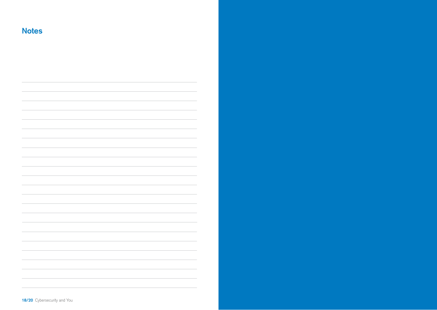**Notes**